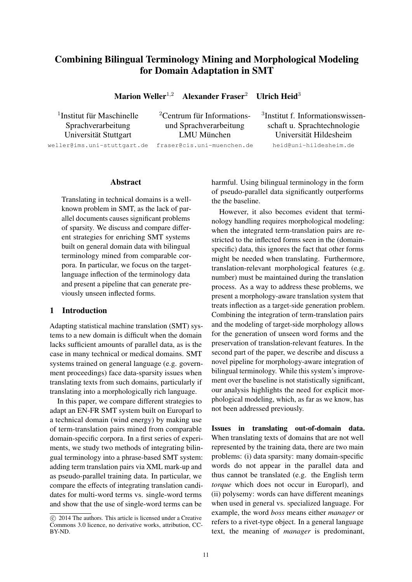# Combining Bilingual Terminology Mining and Morphological Modeling for Domain Adaptation in SMT

Marion Weller<sup>1,2</sup> Alexander Fraser<sup>2</sup> Ullrich Heid<sup>3</sup>

<sup>1</sup>Institut für Maschinelle

 ${}^{2}$ Centrum für Informations-Universität Stuttgart in LMU München Universität Hildesheim

3 Institut f. Informationswissen-Sprachverarbeitung und Sprachverarbeitung schaft u. Sprachtechnologie weller@ims.uni-stuttgart.de fraser@cis.uni-muenchen.de heid@uni-hildesheim.de

#### Abstract

Translating in technical domains is a wellknown problem in SMT, as the lack of parallel documents causes significant problems of sparsity. We discuss and compare different strategies for enriching SMT systems built on general domain data with bilingual terminology mined from comparable corpora. In particular, we focus on the targetlanguage inflection of the terminology data and present a pipeline that can generate previously unseen inflected forms.

# 1 Introduction

Adapting statistical machine translation (SMT) systems to a new domain is difficult when the domain lacks sufficient amounts of parallel data, as is the case in many technical or medical domains. SMT systems trained on general language (e.g. government proceedings) face data-sparsity issues when translating texts from such domains, particularly if translating into a morphologically rich language.

In this paper, we compare different strategies to adapt an EN-FR SMT system built on Europarl to a technical domain (wind energy) by making use of term-translation pairs mined from comparable domain-specific corpora. In a first series of experiments, we study two methods of integrating bilingual terminology into a phrase-based SMT system: adding term translation pairs via XML mark-up and as pseudo-parallel training data. In particular, we compare the effects of integrating translation candidates for multi-word terms vs. single-word terms and show that the use of single-word terms can be

harmful. Using bilingual terminology in the form of pseudo-parallel data significantly outperforms the the baseline.

However, it also becomes evident that terminology handling requires morphological modeling: when the integrated term-translation pairs are restricted to the inflected forms seen in the (domainspecific) data, this ignores the fact that other forms might be needed when translating. Furthermore, translation-relevant morphological features (e.g. number) must be maintained during the translation process. As a way to address these problems, we present a morphology-aware translation system that treats inflection as a target-side generation problem. Combining the integration of term-translation pairs and the modeling of target-side morphology allows for the generation of unseen word forms and the preservation of translation-relevant features. In the second part of the paper, we describe and discuss a novel pipeline for morphology-aware integration of bilingual terminology. While this system's improvement over the baseline is not statistically significant, our analysis highlights the need for explicit morphological modeling, which, as far as we know, has not been addressed previously.

Issues in translating out-of-domain data. When translating texts of domains that are not well represented by the training data, there are two main problems: (i) data sparsity: many domain-specific words do not appear in the parallel data and thus cannot be translated (e.g. the English term *torque* which does not occur in Europarl), and (ii) polysemy: words can have different meanings when used in general vs. specialized language. For example, the word *boss* means either *manager* or refers to a rivet-type object. In a general language text, the meaning of *manager* is predominant,

c 2014 The authors. This article is licensed under a Creative Commons 3.0 licence, no derivative works, attribution, CC-BY-ND.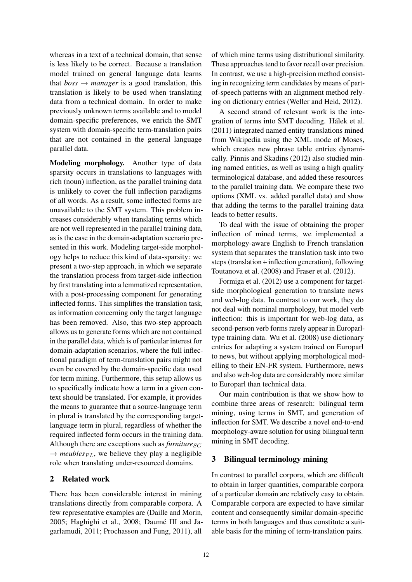whereas in a text of a technical domain, that sense is less likely to be correct. Because a translation model trained on general language data learns that  $boss \rightarrow manager$  is a good translation, this translation is likely to be used when translating data from a technical domain. In order to make previously unknown terms available and to model domain-specific preferences, we enrich the SMT system with domain-specific term-translation pairs that are not contained in the general language parallel data.

Modeling morphology. Another type of data sparsity occurs in translations to languages with rich (noun) inflection, as the parallel training data is unlikely to cover the full inflection paradigms of all words. As a result, some inflected forms are unavailable to the SMT system. This problem increases considerably when translating terms which are not well represented in the parallel training data, as is the case in the domain-adaptation scenario presented in this work. Modeling target-side morphology helps to reduce this kind of data-sparsity: we present a two-step approach, in which we separate the translation process from target-side inflection by first translating into a lemmatized representation, with a post-processing component for generating inflected forms. This simplifies the translation task, as information concerning only the target language has been removed. Also, this two-step approach allows us to generate forms which are not contained in the parallel data, which is of particular interest for domain-adaptation scenarios, where the full inflectional paradigm of term-translation pairs might not even be covered by the domain-specific data used for term mining. Furthermore, this setup allows us to specifically indicate how a term in a given context should be translated. For example, it provides the means to guarantee that a source-language term in plural is translated by the corresponding targetlanguage term in plural, regardless of whether the required inflected form occurs in the training data. Although there are exceptions such as *furniture*  $_{SG}$  $\rightarrow$  *meubles*<sub>PL</sub>, we believe they play a negligible role when translating under-resourced domains.

## 2 Related work

There has been considerable interest in mining translations directly from comparable corpora. A few representative examples are (Daille and Morin, 2005; Haghighi et al., 2008; Daumé III and Jagarlamudi, 2011; Prochasson and Fung, 2011), all

of which mine terms using distributional similarity. These approaches tend to favor recall over precision. In contrast, we use a high-precision method consisting in recognizing term candidates by means of partof-speech patterns with an alignment method relying on dictionary entries (Weller and Heid, 2012).

A second strand of relevant work is the integration of terms into SMT decoding. Halek et al. ´ (2011) integrated named entity translations mined from Wikipedia using the XML mode of Moses, which creates new phrase table entries dynamically. Pinnis and Skadins (2012) also studied mining named entities, as well as using a high quality terminological database, and added these resources to the parallel training data. We compare these two options (XML vs. added parallel data) and show that adding the terms to the parallel training data leads to better results.

To deal with the issue of obtaining the proper inflection of mined terms, we implemented a morphology-aware English to French translation system that separates the translation task into two steps (translation + inflection generation), following Toutanova et al. (2008) and Fraser et al. (2012).

Formiga et al. (2012) use a component for targetside morphological generation to translate news and web-log data. In contrast to our work, they do not deal with nominal morphology, but model verb inflection: this is important for web-log data, as second-person verb forms rarely appear in Europarltype training data. Wu et al. (2008) use dictionary entries for adapting a system trained on Europarl to news, but without applying morphological modelling to their EN-FR system. Furthermore, news and also web-log data are considerably more similar to Europarl than technical data.

Our main contribution is that we show how to combine three areas of research: bilingual term mining, using terms in SMT, and generation of inflection for SMT. We describe a novel end-to-end morphology-aware solution for using bilingual term mining in SMT decoding.

## 3 Bilingual terminology mining

In contrast to parallel corpora, which are difficult to obtain in larger quantities, comparable corpora of a particular domain are relatively easy to obtain. Comparable corpora are expected to have similar content and consequently similar domain-specific terms in both languages and thus constitute a suitable basis for the mining of term-translation pairs.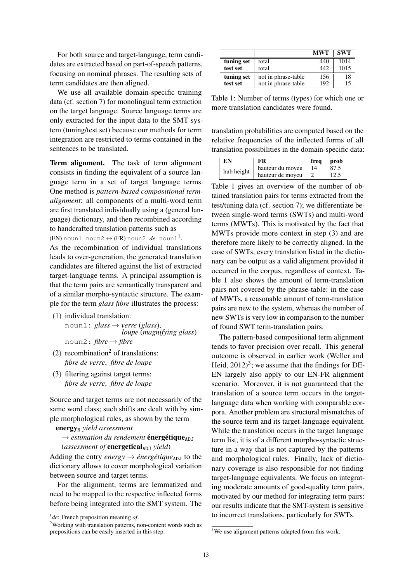For both source and target-language, term candidates are extracted based on part-of-speech patterns, focusing on nominal phrases. The resulting sets of term candidates are then aligned.

We use all available domain-specific training data (cf. section 7) for monolingual term extraction on the target language. Source language terms are only extracted for the input data to the SMT system (tuning/test set) because our methods for term integration are restricted to terms contained in the sentences to be translated.

Term alignment. The task of term alignment consists in finding the equivalent of a source language term in a set of target language terms. One method is *pattern-based compositional termalignment*: all components of a multi-word term are first translated individually using a (general language) dictionary, and then recombined according to handcrafted translation patterns such as

(EN) noun1 noun2  $\leftrightarrow$  (FR) noun2  $\textit{de}$  noun1<sup>1</sup>.

As the recombination of individual translations leads to over-generation, the generated translation candidates are filtered against the list of extracted target-language terms. A principal assumption is that the term pairs are semantically transparent and of a similar morpho-syntactic structure. The example for the term *glass fibre* illustrates the process:

- (1) individual translation:
	- noun1: *glass* → *verre* (*glass*), *loupe* (*magnifying glass*)  $\text{noun2: } \textit{fiber} \rightarrow \textit{fiber}$
- $(2)$  recombination<sup>2</sup> of translations: *fibre de verre*, *fibre de loupe*
- (3) filtering against target terms: *fibre de verre*, *fibre de loupe*

Source and target terms are not necessarily of the same word class; such shifts are dealt with by simple morphological rules, as shown by the term

energy<sub>N</sub> yield assessment

- $\rightarrow$  *estimation du rendement* **énergétique**<sub>ADJ</sub>
- (*assessment of* energetical<sub>ADJ</sub> yield)

Adding the entry *energy*  $\rightarrow$  *énergétique*<sub>ADJ</sub> to the dictionary allows to cover morphological variation between source and target terms.

For the alignment, terms are lemmatized and need to be mapped to the respective inflected forms before being integrated into the SMT system. The

|            |                     | <b>MWT</b> | <b>SWT</b> |
|------------|---------------------|------------|------------|
| tuning set | total               | 440        | 1014       |
| test set   | total               | 442        | 1015       |
| tuning set | not in phrase-table | 156        | 18         |
| test set   | not in phrase-table | 192        | 15         |

Table 1: Number of terms (types) for which one or more translation candidates were found.

translation probabilities are computed based on the relative frequencies of the inflected forms of all translation possibilities in the domain-specific data:

| EN         | FR               | frea | prob |
|------------|------------------|------|------|
| hub height | hauteur du moyeu | 14   | 87.5 |
|            | hauteur de moveu |      | 12.5 |

Table 1 gives an overview of the number of obtained translation pairs for terms extracted from the test/tuning data (cf. section 7); we differentiate between single-word terms (SWTs) and multi-word terms (MWTs). This is motivated by the fact that MWTs provide more context in step (3) and are therefore more likely to be correctly aligned. In the case of SWTs, every translation listed in the dictionary can be output as a valid alignment provided it occurred in the corpus, regardless of context. Table 1 also shows the amount of term-translation pairs not covered by the phrase-table: in the case of MWTs, a reasonable amount of term-translation pairs are new to the system, whereas the number of new SWTs is very low in comparison to the number of found SWT term-translation pairs.

The pattern-based compositional term alignment tends to favor precision over recall. This general outcome is observed in earlier work (Weller and Heid,  $2012$ <sup>3</sup>; we assume that the findings for DE-EN largely also apply to our EN-FR alignment scenario. Moreover, it is not guaranteed that the translation of a source term occurs in the targetlanguage data when working with comparable corpora. Another problem are structural mismatches of the source term and its target-language equivalent. While the translation occurs in the target language term list, it is of a different morpho-syntactic structure in a way that is not captured by the patterns and morphological rules. Finally, lack of dictionary coverage is also responsible for not finding target-language equivalents. We focus on integrating moderate amounts of good-quality term pairs, motivated by our method for integrating term pairs: our results indicate that the SMT-system is sensitive to incorrect translations, particularly for SWTs.

<sup>1</sup> *de*: French preposition meaning *of*.

<sup>2</sup>Working with translation patterns, non-content words such as prepositions can be easily inserted in this step.

<sup>&</sup>lt;sup>3</sup>We use alignment patterns adapted from this work.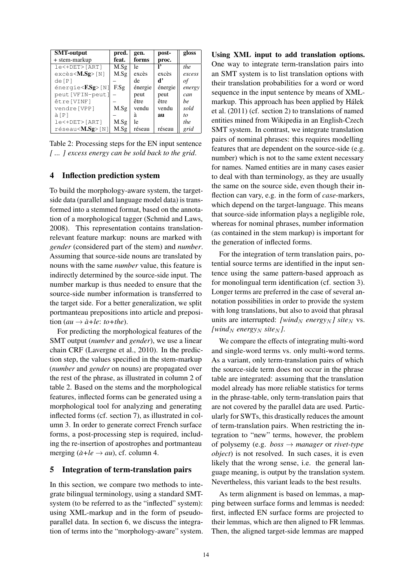| <b>SMT-output</b>                           | pred. | gen.    | post-   | gloss  |
|---------------------------------------------|-------|---------|---------|--------|
| + stem-markup                               | feat. | forms   | proc.   |        |
| le<+DET>[ART]                               | M.Sg  | le      |         | the    |
| $excès < M.Sg > \lceil N \rceil$            | M.Sg  | excès   | excès   | excess |
| de[P]                                       |       | de      | ď       | оt     |
| $\acute{\text{energy}}$ = $\sqrt{FSSg}$ [N] | F.Sg  | énergie | énergie | energy |
| peut [VFIN-peut]                            |       | peut    | peut    | can    |
| être [VINF]                                 |       | être    | être    | he     |
| vendre[VPP]                                 | M.Sg  | vendu   | vendu   | sold   |
| à[P]                                        |       | â       | au      | to     |
| le<+DET>[ART]                               | M.Sg  | le      |         | the    |
| réseau< <b>M.Sg</b> >[N]                    | M.Sg  | réseau  | réseau  | grid   |

Table 2: Processing steps for the EN input sentence *[ ... ] excess energy can be sold back to the grid*.

### 4 Inflection prediction system

To build the morphology-aware system, the targetside data (parallel and language model data) is transformed into a stemmed format, based on the annotation of a morphological tagger (Schmid and Laws, 2008). This representation contains translationrelevant feature markup: nouns are marked with *gender* (considered part of the stem) and *number*. Assuming that source-side nouns are translated by nouns with the same *number* value, this feature is indirectly determined by the source-side input. The number markup is thus needed to ensure that the source-side number information is transferred to the target side. For a better generalization, we split portmanteau prepositions into article and preposi- $\phi$  *tion* (*au*  $\rightarrow$   $\dot{a}$ +*le*: *to+the*).

For predicting the morphological features of the SMT output (*number* and *gender*), we use a linear chain CRF (Lavergne et al., 2010). In the prediction step, the values specified in the stem-markup (*number* and *gender* on nouns) are propagated over the rest of the phrase, as illustrated in column 2 of table 2. Based on the stems and the morphological features, inflected forms can be generated using a morphological tool for analyzing and generating inflected forms (cf. section 7), as illustrated in column 3. In order to generate correct French surface forms, a post-processing step is required, including the re-insertion of apostrophes and portmanteau merging  $(\hat{a}+le \rightarrow au)$ , cf. column 4.

### 5 Integration of term-translation pairs

In this section, we compare two methods to integrate bilingual terminology, using a standard SMTsystem (to be referred to as the "inflected" system): using XML-markup and in the form of pseudoparallel data. In section 6, we discuss the integration of terms into the "morphology-aware" system. Using XML input to add translation options. One way to integrate term-translation pairs into an SMT system is to list translation options with their translation probabilities for a word or word sequence in the input sentence by means of XMLmarkup. This approach has been applied by Hálek et al. (2011) (cf. section 2) to translations of named entities mined from Wikipedia in an English-Czech SMT system. In contrast, we integrate translation pairs of nominal phrases: this requires modelling features that are dependent on the source-side (e.g. number) which is not to the same extent necessary for names. Named entities are in many cases easier to deal with than terminology, as they are usually the same on the source side, even though their inflection can vary, e.g. in the form of *case*-markers, which depend on the target-language. This means that source-side information plays a negligible role, whereas for nominal phrases, number information (as contained in the stem markup) is important for the generation of inflected forms.

For the integration of term translation pairs, potential source terms are identified in the input sentence using the same pattern-based approach as for monolingual term identification (cf. section 3). Longer terms are preferred in the case of several annotation possibilities in order to provide the system with long translations, but also to avoid that phrasal units are interrupted: [wind<sub>N</sub> energy<sub>N</sub>] site<sub>N</sub> vs. *[wind<sub>N</sub>* energy<sub>N</sub> site<sub>N</sub>].

We compare the effects of integrating multi-word and single-word terms vs. only multi-word terms. As a variant, only term-translation pairs of which the source-side term does not occur in the phrase table are integrated: assuming that the translation model already has more reliable statistics for terms in the phrase-table, only term-translation pairs that are not covered by the parallel data are used. Particularly for SWTs, this drastically reduces the amount of term-translation pairs. When restricting the integration to "new" terms, however, the problem of polysemy (e.g. *boss* → *manager* or *rivet-type object*) is not resolved. In such cases, it is even likely that the wrong sense, i.e. the general language meaning, is output by the translation system. Nevertheless, this variant leads to the best results.

As term alignment is based on lemmas, a mapping between surface forms and lemmas is needed: first, inflected EN surface forms are projected to their lemmas, which are then aligned to FR lemmas. Then, the aligned target-side lemmas are mapped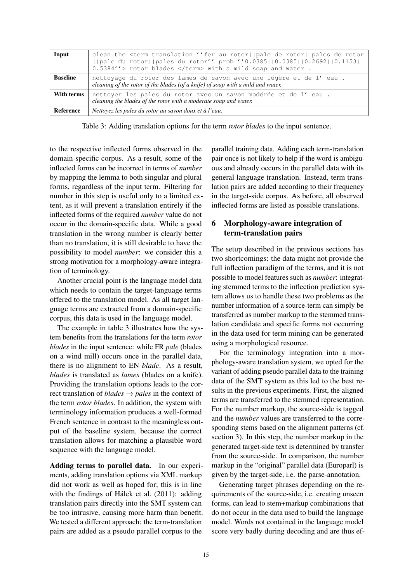| Input           | clean the <term au="" de="" fer="" rotor<br="" rotor  pale="" rotor  pales="" translation="">  pale du rotor  pales du rotor'' prob=''0.0385  0.0385  0.2692  0.1153  <br/>0.5384''&gt; rotor blades </term> with a mild soap and water. |  |  |
|-----------------|------------------------------------------------------------------------------------------------------------------------------------------------------------------------------------------------------------------------------------------|--|--|
| <b>Baseline</b> | nettoyage du rotor des lames de savon avec une légère et de l'eau.<br>cleaning of the rotor of the blades (of a knife) of soap with a mild and water.                                                                                    |  |  |
| With terms      | nettoyer les pales du rotor avec un savon modérée et de l'eau.<br>cleaning the blades of the rotor with a moderate soap and water.                                                                                                       |  |  |
| Reference       | Nettoyez les pales du rotor au savon doux et à l'eau.                                                                                                                                                                                    |  |  |

Table 3: Adding translation options for the term *rotor blades* to the input sentence.

to the respective inflected forms observed in the domain-specific corpus. As a result, some of the inflected forms can be incorrect in terms of *number* by mapping the lemma to both singular and plural forms, regardless of the input term. Filtering for number in this step is useful only to a limited extent, as it will prevent a translation entirely if the inflected forms of the required *number* value do not occur in the domain-specific data. While a good translation in the wrong number is clearly better than no translation, it is still desirable to have the possibility to model *number*: we consider this a strong motivation for a morphology-aware integration of terminology.

Another crucial point is the language model data which needs to contain the target-language terms offered to the translation model. As all target language terms are extracted from a domain-specific corpus, this data is used in the language model.

The example in table 3 illustrates how the system benefits from the translations for the term *rotor blades* in the input sentence: while FR *pale* (blades on a wind mill) occurs once in the parallel data, there is no alignment to EN *blade*. As a result, *blades* is translated as *lames* (blades on a knife). Providing the translation options leads to the correct translation of *blades* → *pales* in the context of the term *rotor blades*. In addition, the system with terminology information produces a well-formed French sentence in contrast to the meaningless output of the baseline system, because the correct translation allows for matching a plausible word sequence with the language model.

Adding terms to parallel data. In our experiments, adding translation options via XML markup did not work as well as hoped for; this is in line with the findings of Hálek et al. (2011): adding translation pairs directly into the SMT system can be too intrusive, causing more harm than benefit. We tested a different approach: the term-translation pairs are added as a pseudo parallel corpus to the

parallel training data. Adding each term-translation pair once is not likely to help if the word is ambiguous and already occurs in the parallel data with its general language translation. Instead, term translation pairs are added according to their frequency in the target-side corpus. As before, all observed inflected forms are listed as possible translations.

# 6 Morphology-aware integration of term-translation pairs

The setup described in the previous sections has two shortcomings: the data might not provide the full inflection paradigm of the terms, and it is not possible to model features such as *number*: integrating stemmed terms to the inflection prediction system allows us to handle these two problems as the number information of a source-term can simply be transferred as number markup to the stemmed translation candidate and specific forms not occurring in the data used for term mining can be generated using a morphological resource.

For the terminology integration into a morphology-aware translation system, we opted for the variant of adding pseudo parallel data to the training data of the SMT system as this led to the best results in the previous experiments. First, the aligned terms are transferred to the stemmed representation. For the number markup, the source-side is tagged and the *number* values are transferred to the corresponding stems based on the alignment patterns (cf. section 3). In this step, the number markup in the generated target-side text is determined by transfer from the source-side. In comparison, the number markup in the "original" parallel data (Europarl) is given by the target-side, i.e. the parse-annotation.

Generating target phrases depending on the requirements of the source-side, i.e. creating unseen forms, can lead to stem+markup combinations that do not occur in the data used to build the language model. Words not contained in the language model score very badly during decoding and are thus ef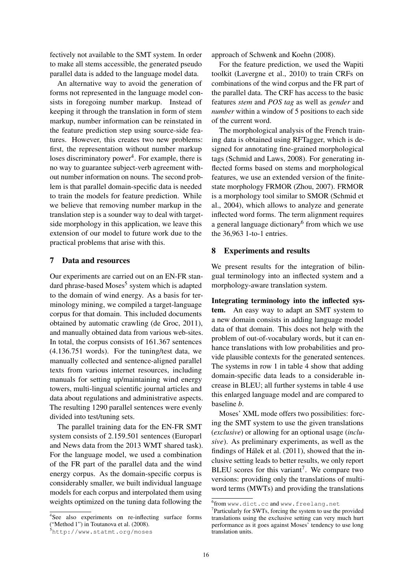fectively not available to the SMT system. In order to make all stems accessible, the generated pseudo parallel data is added to the language model data.

An alternative way to avoid the generation of forms not represented in the language model consists in foregoing number markup. Instead of keeping it through the translation in form of stem markup, number information can be reinstated in the feature prediction step using source-side features. However, this creates two new problems: first, the representation without number markup loses discriminatory power<sup>4</sup>. For example, there is no way to guarantee subject-verb agreement without number information on nouns. The second problem is that parallel domain-specific data is needed to train the models for feature prediction. While we believe that removing number markup in the translation step is a sounder way to deal with targetside morphology in this application, we leave this extension of our model to future work due to the practical problems that arise with this.

## 7 Data and resources

Our experiments are carried out on an EN-FR standard phrase-based Moses<sup>5</sup> system which is adapted to the domain of wind energy. As a basis for terminology mining, we compiled a target-language corpus for that domain. This included documents obtained by automatic crawling (de Groc, 2011), and manually obtained data from various web-sites. In total, the corpus consists of 161.367 sentences (4.136.751 words). For the tuning/test data, we manually collected and sentence-aligned parallel texts from various internet resources, including manuals for setting up/maintaining wind energy towers, multi-lingual scientific journal articles and data about regulations and administrative aspects. The resulting 1290 parallel sentences were evenly divided into test/tuning sets.

The parallel training data for the EN-FR SMT system consists of 2.159.501 sentences (Europarl and News data from the 2013 WMT shared task). For the language model, we used a combination of the FR part of the parallel data and the wind energy corpus. As the domain-specific corpus is considerably smaller, we built individual language models for each corpus and interpolated them using weights optimized on the tuning data following the

4 See also experiments on re-inflecting surface forms ("Method 1") in Toutanova et al. (2008).

approach of Schwenk and Koehn (2008).

For the feature prediction, we used the Wapiti toolkit (Lavergne et al., 2010) to train CRFs on combinations of the wind corpus and the FR part of the parallel data. The CRF has access to the basic features *stem* and *POS tag* as well as *gender* and *number* within a window of 5 positions to each side of the current word.

The morphological analysis of the French training data is obtained using RFTagger, which is designed for annotating fine-grained morphological tags (Schmid and Laws, 2008). For generating inflected forms based on stems and morphological features, we use an extended version of the finitestate morphology FRMOR (Zhou, 2007). FRMOR is a morphology tool similar to SMOR (Schmid et al., 2004), which allows to analyze and generate inflected word forms. The term alignment requires a general language dictionary<sup>6</sup> from which we use the 36,963 1-to-1 entries.

### 8 Experiments and results

We present results for the integration of bilingual terminology into an inflected system and a morphology-aware translation system.

Integrating terminology into the inflected system. An easy way to adapt an SMT system to a new domain consists in adding language model data of that domain. This does not help with the problem of out-of-vocabulary words, but it can enhance translations with low probabilities and provide plausible contexts for the generated sentences. The systems in row 1 in table 4 show that adding domain-specific data leads to a considerable increase in BLEU; all further systems in table 4 use this enlarged language model and are compared to baseline *b*.

Moses' XML mode offers two possibilities: forcing the SMT system to use the given translations (*exclusive*) or allowing for an optional usage (*inclusive*). As preliminary experiments, as well as the findings of Hálek et al.  $(2011)$ , showed that the inclusive setting leads to better results, we only report BLEU scores for this variant<sup>7</sup>. We compare two versions: providing only the translations of multiword terms (MWTs) and providing the translations

<sup>5</sup>http://www.statmt.org/moses

<sup>6</sup> from www.dict.cc and www.freelang.net

<sup>&</sup>lt;sup>7</sup>Particularly for SWTs, forcing the system to use the provided translations using the exclusive setting can very much hurt performance as it goes against Moses' tendency to use long translation units.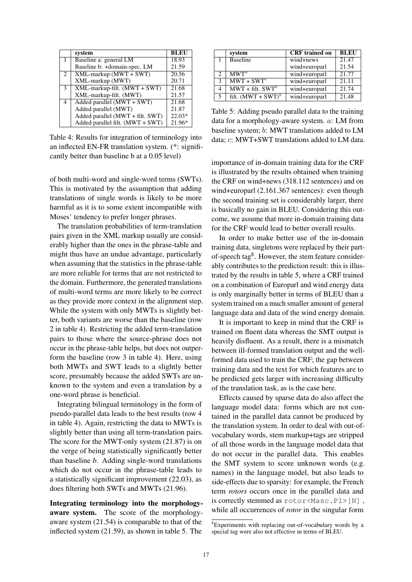|             | system                           | <b>BLEU</b> |
|-------------|----------------------------------|-------------|
|             | Baseline a: general LM           | 18.93       |
|             | Baseline b: +domain-spec. LM     | 21.59       |
| $2^{\circ}$ | $XML$ -markup (MWT + SWT)        | 20.56       |
|             | XML-markup (MWT)                 | 20.71       |
| 3           | XML-markup-filt. (MWT + SWT)     | 21.68       |
|             | XML-markup-filt. (MWT)           | 21.57       |
| 4           | Added parallel $(MWT + SWT)$     | 21.68       |
|             | Added parallel (MWT)             | 21.87       |
|             | Added parallel (MWT + filt. SWT) | $22.03*$    |
|             | Added parallel filt. (MWT + SWT) | 21.96*      |

Table 4: Results for integration of terminology into an inflected EN-FR translation system. (\*: significantly better than baseline b at a 0.05 level)

of both multi-word and single-word terms (SWTs). This is motivated by the assumption that adding translations of single words is likely to be more harmful as it is to some extent incompatible with Moses' tendency to prefer longer phrases.

The translation probabilities of term-translation pairs given in the XML markup usually are considerably higher than the ones in the phrase-table and might thus have an undue advantage, particularly when assuming that the statistics in the phrase-table are more reliable for terms that are not restricted to the domain. Furthermore, the generated translations of multi-word terms are more likely to be correct as they provide more context in the alignment step. While the system with only MWTs is slightly better, both variants are worse than the baseline (row 2 in table 4). Restricting the added term-translation pairs to those where the source-phrase does not occur in the phrase-table helps, but does not outperform the baseline (row 3 in table 4). Here, using both MWTs and SWT leads to a slightly better score, presumably because the added SWTs are unknown to the system and even a translation by a one-word phrase is beneficial.

Integrating bilingual terminology in the form of pseudo-parallel data leads to the best results (row 4 in table 4). Again, restricting the data to MWTs is slightly better than using all term-translation pairs. The score for the MWT-only system (21.87) is on the verge of being statistically significantly better than baseline *b*. Adding single-word translations which do not occur in the phrase-table leads to a statistically significant improvement (22.03), as does filtering both SWTs and MWTs (21.96).

Integrating terminology into the morphologyaware system. The score of the morphologyaware system (21.54) is comparable to that of the inflected system (21.59), as shown in table 5. The

|               | system                            | <b>CRF</b> trained on          | <b>BLEU</b> |
|---------------|-----------------------------------|--------------------------------|-------------|
|               | <b>Baseline</b>                   | $\overline{\text{wind}}$ +news | 21.47       |
|               |                                   | wind+europarl                  | 21.54       |
| $\mathcal{L}$ | $MWT^a$                           | wind+europarl                  | 21.77       |
| 3             | $MWT + SWTc$                      | wind+europarl                  | 21.11       |
| 4             | $MWT + \overline{filt}$ . $SWT^b$ | wind+europarl                  | 21.74       |
| 5             | filt. $(MWT + SWT)^b$             | wind+europarl                  | 21.48       |

Table 5: Adding pseudo parallel data to the training data for a morphology-aware system. a: LM from baseline system; b: MWT translations added to LM data; c: MWT+SWT translations added to LM data.

importance of in-domain training data for the CRF is illustrated by the results obtained when training the CRF on wind+news (318.112 sentences) and on wind+europarl  $(2.161.367$  sentences): even though the second training set is considerably larger, there is basically no gain in BLEU. Considering this outcome, we assume that more in-domain training data for the CRF would lead to better overall results.

In order to make better use of the in-domain training data, singletons were replaced by their partof-speech tag<sup>8</sup>. However, the stem feature considerably contributes to the prediction result: this is illustrated by the results in table 5, where a CRF trained on a combination of Europarl and wind energy data is only marginally better in terms of BLEU than a system trained on a much smaller amount of general language data and data of the wind energy domain.

It is important to keep in mind that the CRF is trained on fluent data whereas the SMT output is heavily disfluent. As a result, there is a mismatch between ill-formed translation output and the wellformed data used to train the CRF; the gap between training data and the text for which features are to be predicted gets larger with increasing difficulty of the translation task, as is the case here.

Effects caused by sparse data do also affect the language model data: forms which are not contained in the parallel data cannot be produced by the translation system. In order to deal with out-ofvocabulary words, stem markup+tags are stripped of all those words in the language model data that do not occur in the parallel data. This enables the SMT system to score unknown words (e.g. names) in the language model, but also leads to side-effects due to sparsity: for example, the French term *rotors* occurs once in the parallel data and is correctly stemmed as  $rotor <$ Masc.Pl>[N], while all occurrences of *rotor* in the singular form

<sup>8</sup>Experiments with replacing out-of-vocabulary words by a special tag were also not effective in terms of BLEU.